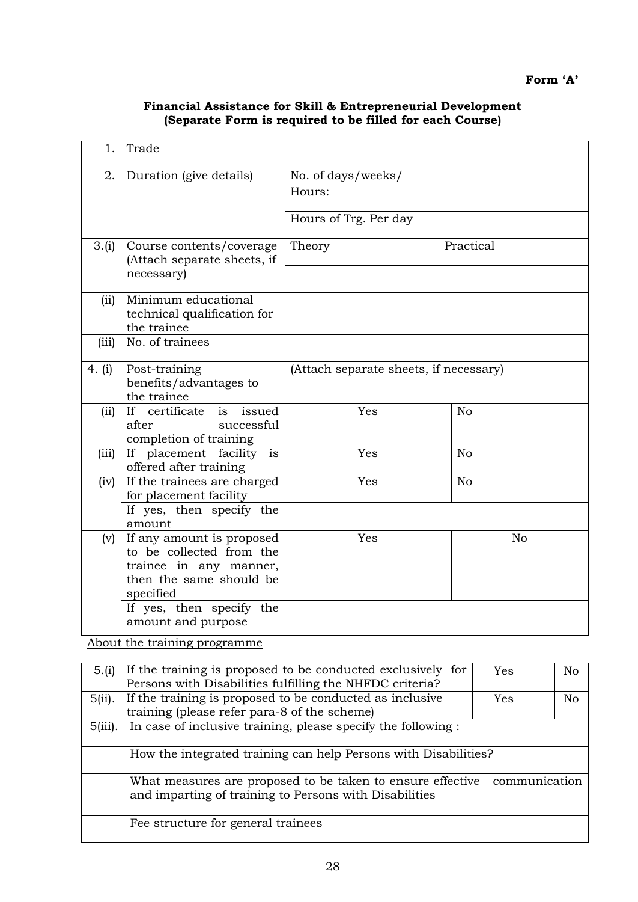## **Financial Assistance for Skill & Entrepreneurial Development (Separate Form is required to be filled for each Course)**

| 1.       | Trade                                                                                                                                                                     |                                        |                |  |  |
|----------|---------------------------------------------------------------------------------------------------------------------------------------------------------------------------|----------------------------------------|----------------|--|--|
| 2.       | Duration (give details)                                                                                                                                                   | No. of days/weeks/<br>Hours:           |                |  |  |
|          |                                                                                                                                                                           | Hours of Trg. Per day                  |                |  |  |
| 3.(i)    | Course contents/coverage<br>(Attach separate sheets, if<br>necessary)                                                                                                     | Theory                                 | Practical      |  |  |
| (ii)     | Minimum educational<br>technical qualification for<br>the trainee                                                                                                         |                                        |                |  |  |
| (iii)    | No. of trainees                                                                                                                                                           |                                        |                |  |  |
| 4. $(i)$ | Post-training<br>benefits/advantages to<br>the trainee                                                                                                                    | (Attach separate sheets, if necessary) |                |  |  |
| (ii)     | If certificate<br>is issued<br>after<br>successful<br>completion of training                                                                                              | Yes                                    | No             |  |  |
| (iii)    | If placement facility<br>is<br>offered after training                                                                                                                     | Yes                                    | N <sub>o</sub> |  |  |
| (iv)     | If the trainees are charged<br>for placement facility<br>If yes, then specify the<br>amount                                                                               | Yes                                    | N <sub>o</sub> |  |  |
| (v)      | If any amount is proposed<br>to be collected from the<br>trainee in any manner,<br>then the same should be<br>specified<br>If yes, then specify the<br>amount and purpose | Yes                                    | N <sub>o</sub> |  |  |

About the training programme

| 5.(i)      | If the training is proposed to be conducted exclusively for                 |     | N <sub>o</sub> |  |  |
|------------|-----------------------------------------------------------------------------|-----|----------------|--|--|
|            | Persons with Disabilities fulfilling the NHFDC criteria?                    |     |                |  |  |
| $5(ii)$ .  | If the training is proposed to be conducted as inclusive                    | Yes | No             |  |  |
|            | training (please refer para-8 of the scheme)                                |     |                |  |  |
| $5(iii)$ . | In case of inclusive training, please specify the following:                |     |                |  |  |
|            |                                                                             |     |                |  |  |
|            | How the integrated training can help Persons with Disabilities?             |     |                |  |  |
|            |                                                                             |     |                |  |  |
|            | communication<br>What measures are proposed to be taken to ensure effective |     |                |  |  |
|            | and imparting of training to Persons with Disabilities                      |     |                |  |  |
|            |                                                                             |     |                |  |  |
|            | Fee structure for general trainees                                          |     |                |  |  |
|            |                                                                             |     |                |  |  |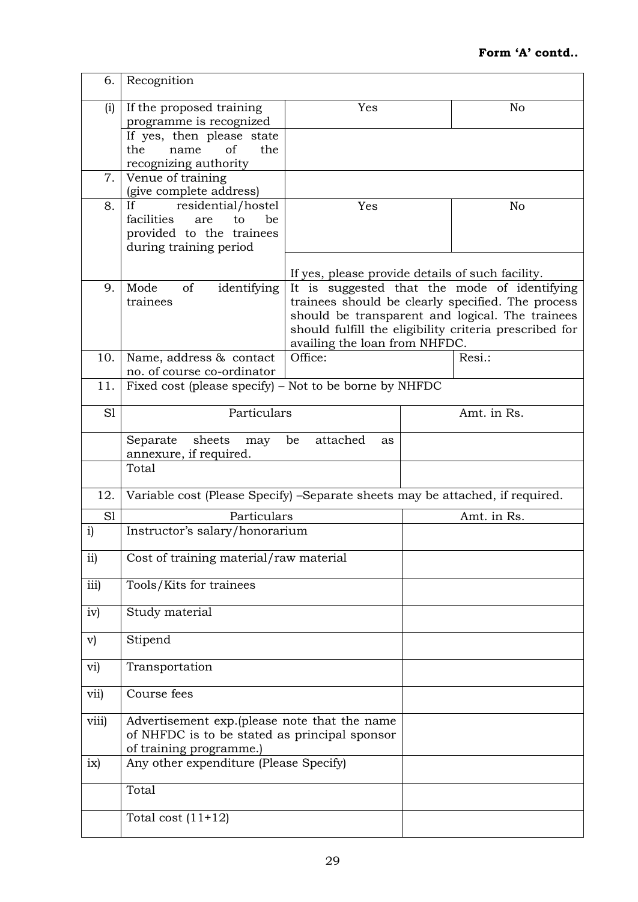| 6.            | Recognition                                                                                                              |                                                                                                                                                                                                                                                 |                |             |  |
|---------------|--------------------------------------------------------------------------------------------------------------------------|-------------------------------------------------------------------------------------------------------------------------------------------------------------------------------------------------------------------------------------------------|----------------|-------------|--|
| (i)           | If the proposed training<br>programme is recognized                                                                      | Yes                                                                                                                                                                                                                                             | N <sub>o</sub> |             |  |
|               | If yes, then please state<br>of<br>the<br>the<br>name<br>recognizing authority                                           |                                                                                                                                                                                                                                                 |                |             |  |
| 7.            | Venue of training<br>(give complete address)                                                                             |                                                                                                                                                                                                                                                 |                |             |  |
| 8.            | residential/hostel<br>Yes<br>If<br>facilities<br>be<br>are<br>to<br>provided to the trainees<br>during training period   |                                                                                                                                                                                                                                                 |                | No          |  |
|               |                                                                                                                          | If yes, please provide details of such facility.                                                                                                                                                                                                |                |             |  |
| 9.            | identifying<br>Mode<br>of<br>trainees                                                                                    | It is suggested that the mode of identifying<br>trainees should be clearly specified. The process<br>should be transparent and logical. The trainees<br>should fulfill the eligibility criteria prescribed for<br>availing the loan from NHFDC. |                |             |  |
| 10.           | Name, address & contact<br>no. of course co-ordinator                                                                    | Office:                                                                                                                                                                                                                                         |                | Resi.:      |  |
| 11.           | Fixed cost (please specify) – Not to be borne by NHFDC                                                                   |                                                                                                                                                                                                                                                 |                |             |  |
| S1            | Particulars                                                                                                              |                                                                                                                                                                                                                                                 |                | Amt. in Rs. |  |
|               | Separate<br>sheets<br>may<br>annexure, if required.                                                                      | attached<br>be<br>as                                                                                                                                                                                                                            |                |             |  |
|               | Total                                                                                                                    |                                                                                                                                                                                                                                                 |                |             |  |
| 12.           | Variable cost (Please Specify) - Separate sheets may be attached, if required.                                           |                                                                                                                                                                                                                                                 |                |             |  |
| S1            | Particulars                                                                                                              |                                                                                                                                                                                                                                                 |                | Amt. in Rs. |  |
| $\mathbf{i}$  | Instructor's salary/honorarium                                                                                           |                                                                                                                                                                                                                                                 |                |             |  |
| $\mathbf{ii}$ | Cost of training material/raw material                                                                                   |                                                                                                                                                                                                                                                 |                |             |  |
| iii)          | Tools/Kits for trainees                                                                                                  |                                                                                                                                                                                                                                                 |                |             |  |
| iv)           | Study material                                                                                                           |                                                                                                                                                                                                                                                 |                |             |  |
| $\mathbf{v})$ | Stipend                                                                                                                  |                                                                                                                                                                                                                                                 |                |             |  |
| vi)           | Transportation                                                                                                           |                                                                                                                                                                                                                                                 |                |             |  |
| vii)          | Course fees                                                                                                              |                                                                                                                                                                                                                                                 |                |             |  |
| viii)         | Advertisement exp.(please note that the name<br>of NHFDC is to be stated as principal sponsor<br>of training programme.) |                                                                                                                                                                                                                                                 |                |             |  |
| ix)           | Any other expenditure (Please Specify)                                                                                   |                                                                                                                                                                                                                                                 |                |             |  |
|               | Total                                                                                                                    |                                                                                                                                                                                                                                                 |                |             |  |
|               | Total cost $(11+12)$                                                                                                     |                                                                                                                                                                                                                                                 |                |             |  |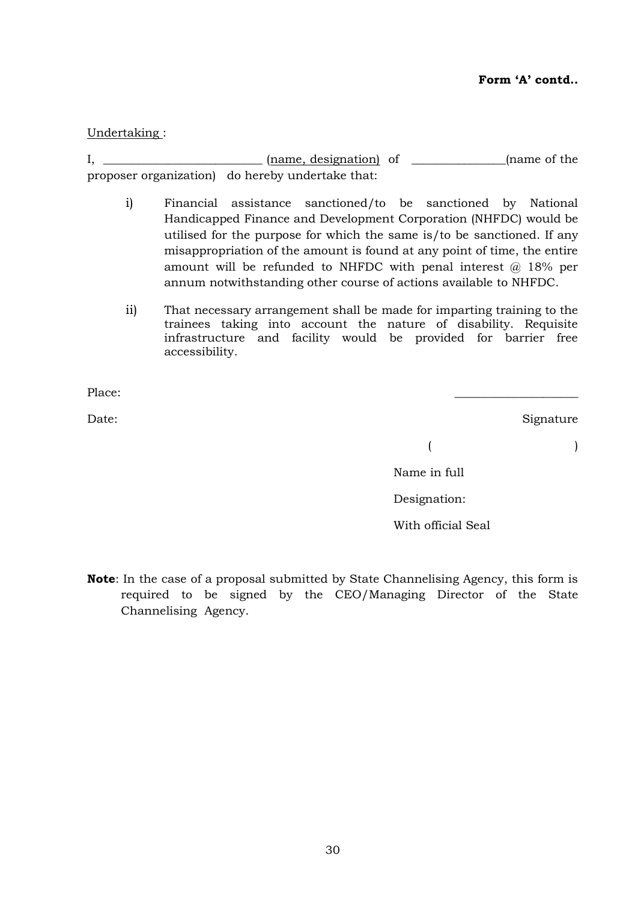## Undertaking :

I, \_\_\_\_\_\_\_\_\_\_\_\_\_\_\_\_\_\_\_\_\_\_\_\_\_\_\_ (name, designation) of \_\_\_\_\_\_\_\_\_\_\_\_\_\_\_\_(name of the proposer organization) do hereby undertake that:

- i) Financial assistance sanctioned/to be sanctioned by National Handicapped Finance and Development Corporation (NHFDC) would be utilised for the purpose for which the same is/to be sanctioned. If any misappropriation of the amount is found at any point of time, the entire amount will be refunded to NHFDC with penal interest  $\omega$  18% per annum notwithstanding other course of actions available to NHFDC.
- ii) That necessary arrangement shall be made for imparting training to the trainees taking into account the nature of disability. Requisite infrastructure and facility would be provided for barrier free accessibility.

Place: \_\_\_\_\_\_\_\_\_\_\_\_\_\_\_\_\_\_\_\_\_

Date: Signature Signature

 $($ 

Name in full

Designation:

With official Seal

**Note**: In the case of a proposal submitted by State Channelising Agency, this form is required to be signed by the CEO/Managing Director of the State Channelising Agency.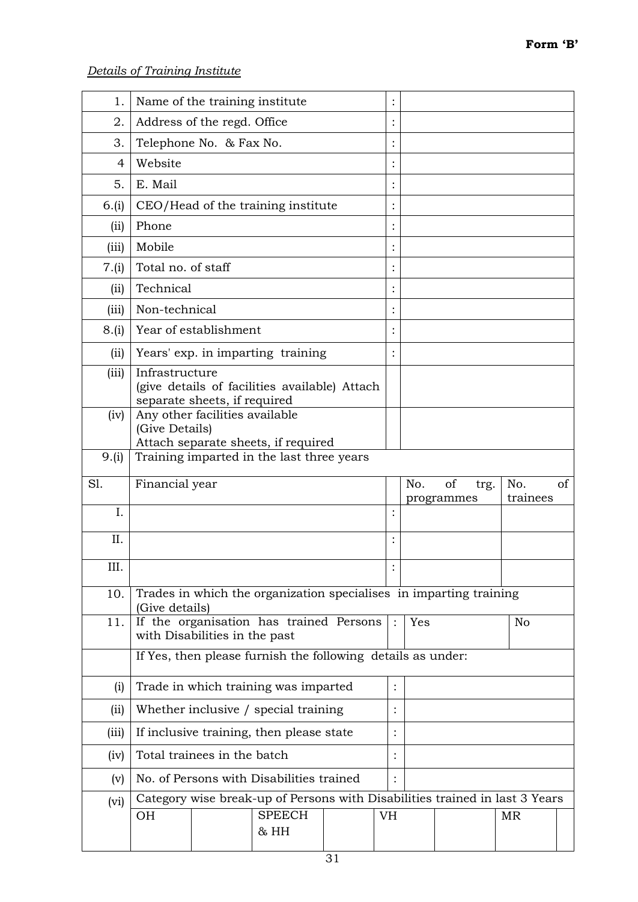| 1.             | Name of the training institute                   |                                                                                              |                |     |            |                |    |
|----------------|--------------------------------------------------|----------------------------------------------------------------------------------------------|----------------|-----|------------|----------------|----|
| 2.             | Address of the regd. Office                      |                                                                                              |                |     |            |                |    |
| 3.             | Telephone No. & Fax No.                          |                                                                                              |                |     |            |                |    |
| $\overline{4}$ | Website                                          |                                                                                              |                |     |            |                |    |
| 5.             | E. Mail                                          |                                                                                              |                |     |            |                |    |
| 6.(i)          |                                                  | CEO/Head of the training institute                                                           |                |     |            |                |    |
| (ii)           | Phone                                            |                                                                                              |                |     |            |                |    |
| (iii)          | Mobile                                           |                                                                                              |                |     |            |                |    |
| 7.(i)          | Total no. of staff                               |                                                                                              |                |     |            |                |    |
| (ii)           | Technical                                        |                                                                                              |                |     |            |                |    |
| (iii)          | Non-technical                                    |                                                                                              |                |     |            |                |    |
| 8.(i)          | Year of establishment                            |                                                                                              |                |     |            |                |    |
| (ii)           |                                                  | Years' exp. in imparting training                                                            |                |     |            |                |    |
| (iii)          | Infrastructure<br>separate sheets, if required   | (give details of facilities available) Attach                                                |                |     |            |                |    |
| (iv)           | Any other facilities available<br>(Give Details) | Attach separate sheets, if required                                                          |                |     |            |                |    |
| 9.(i)          |                                                  | Training imparted in the last three years                                                    |                |     |            |                |    |
|                |                                                  |                                                                                              |                |     |            |                |    |
| S1.            | Financial year                                   |                                                                                              |                | No. | of<br>trg. | No.            | of |
|                |                                                  |                                                                                              |                |     | programmes | trainees       |    |
| I.             |                                                  |                                                                                              | $\ddot{\cdot}$ |     |            |                |    |
| II.            |                                                  |                                                                                              |                |     |            |                |    |
| III.           |                                                  |                                                                                              | $\bullet$      |     |            |                |    |
| 10.            | (Give details)                                   | Trades in which the organization specialises in imparting training                           |                |     |            |                |    |
| 11.            | with Disabilities in the past                    | If the organisation has trained Persons                                                      |                | Yes |            | N <sub>o</sub> |    |
|                |                                                  | If Yes, then please furnish the following details as under:                                  |                |     |            |                |    |
| (i)            |                                                  | Trade in which training was imparted                                                         | $\ddot{\cdot}$ |     |            |                |    |
| (ii)           |                                                  | Whether inclusive / special training                                                         |                |     |            |                |    |
| (iii)          |                                                  | If inclusive training, then please state                                                     |                |     |            |                |    |
| (iv)           | Total trainees in the batch                      |                                                                                              |                |     |            |                |    |
| (v)            |                                                  | No. of Persons with Disabilities trained                                                     |                |     |            |                |    |
| (vi)           | <b>OH</b>                                        | Category wise break-up of Persons with Disabilities trained in last 3 Years<br><b>SPEECH</b> | <b>VH</b>      |     |            | MR             |    |